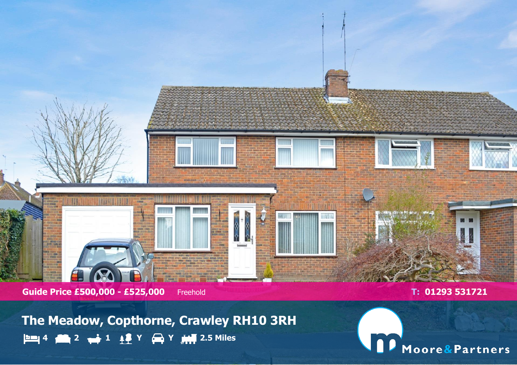

**Guide Price £500,000 - £525,000** Freehold **T: 01293 531721** 

**The Meadow, Copthorne, Crawley RH10 3RH 4 2 1 Y Y 2.5 Miles**

nie Moore&Partners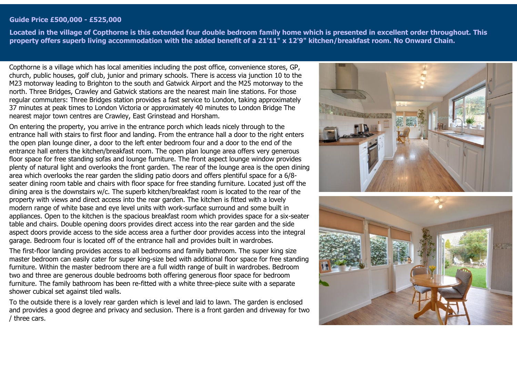#### **Guide Price £500,000 - £525,000**

**Located in the village of Copthorne is this extended four double bedroom family home which is presented in excellent order throughout. This property offers superb living accommodation with the added benefit of a 21'11" x 12'9" kitchen/breakfast room. No Onward Chain.**

Copthorne is a village which has local amenities including the post office, convenience stores, GP, church, public houses, golf club, junior and primary schools. There is access via junction 10 to the M23 motorway leading to Brighton to the south and Gatwick Airport and the M25 motorway to the north. Three Bridges, Crawley and Gatwick stations are the nearest main line stations. For those regular commuters: Three Bridges station provides a fast service to London, taking approximately 37 minutes at peak times to London Victoria or approximately 40 minutes to London Bridge The nearest major town centres are Crawley, East Grinstead and Horsham.

On entering the property, you arrive in the entrance porch which leads nicely through to the entrance hall with stairs to first floor and landing. From the entrance hall a door to the right enters the open plan lounge diner, a door to the left enter bedroom four and a door to the end of the entrance hall enters the kitchen/breakfast room. The open plan lounge area offers very generous floor space for free standing sofas and lounge furniture. The front aspect lounge window provides plenty of natural light and overlooks the front garden. The rear of the lounge area is the open dining area which overlooks the rear garden the sliding patio doors and offers plentiful space for a 6/8 seater dining room table and chairs with floor space for free standing furniture. Located just off the dining area is the downstairs w/c. The superb kitchen/breakfast room is located to the rear of the property with views and direct access into the rear garden. The kitchen is fitted with a lovely modern range of white base and eye level units with work-surface surround and some built in appliances. Open to the kitchen is the spacious breakfast room which provides space for a six-seater table and chairs. Double opening doors provides direct access into the rear garden and the side aspect doors provide access to the side access area a further door provides access into the integral garage. Bedroom four is located off of the entrance hall and provides built in wardrobes.

The first-floor landing provides access to all bedrooms and family bathroom. The super king size master bedroom can easily cater for super king-size bed with additional floor space for free standing furniture. Within the master bedroom there are a full width range of built in wardrobes. Bedroom two and three are generous double bedrooms both offering generous floor space for bedroom furniture. The family bathroom has been re-fitted with a white three-piece suite with a separate shower cubical set against tiled walls.

To the outside there is a lovely rear garden which is level and laid to lawn. The garden is enclosed and provides a good degree and privacy and seclusion. There is a front garden and driveway for two / three cars.



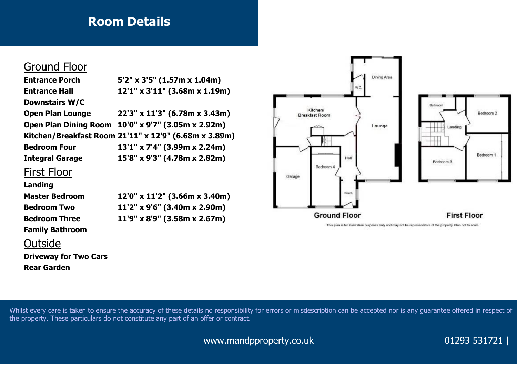# **Room Details**

## Ground Floor

| <b>Entrance Porch</b>        | $5'2''$ x 3'5" (1.57m x 1.04m)                        |
|------------------------------|-------------------------------------------------------|
| <b>Entrance Hall</b>         | 12'1" x 3'11" (3.68m x 1.19m)                         |
| <b>Downstairs W/C</b>        |                                                       |
| <b>Open Plan Lounge</b>      | 22'3" x 11'3" (6.78m x 3.43m)                         |
| <b>Open Plan Dining Room</b> | 10'0" x 9'7" (3.05m x 2.92m)                          |
|                              | Kitchen/Breakfast Room 21'11" x 12'9" (6.68m x 3.89m) |
| <b>Bedroom Four</b>          | 13'1" x 7'4" (3.99m x 2.24m)                          |
| <b>Integral Garage</b>       | 15'8" x 9'3" (4.78m x 2.82m)                          |
| Firct Floor                  |                                                       |

### <u>FILSL FIUUL</u>

### **Landing**

| <b>Master Bedroom</b>  | 12'0" x 11'2" (3.66m x 3.40m)         |
|------------------------|---------------------------------------|
| <b>Bedroom Two</b>     | $11'2''$ x 9'6" (3.40m x 2.90m)       |
| <b>Bedroom Three</b>   | $11'9'' \times 8'9''$ (3.58m x 2.67m) |
| <b>Family Bathroom</b> |                                       |

## **Outside**

**Driveway for Two Cars Rear Garden**



This plan is for illustration purposes only and may not be representative of the property. Plan not to scale.

Whilst every care is taken to ensure the accuracy of these details no responsibility for errors or misdescription can be accepted nor is any guarantee offered in respect of the property. These particulars do not constitute any part of an offer or contract.